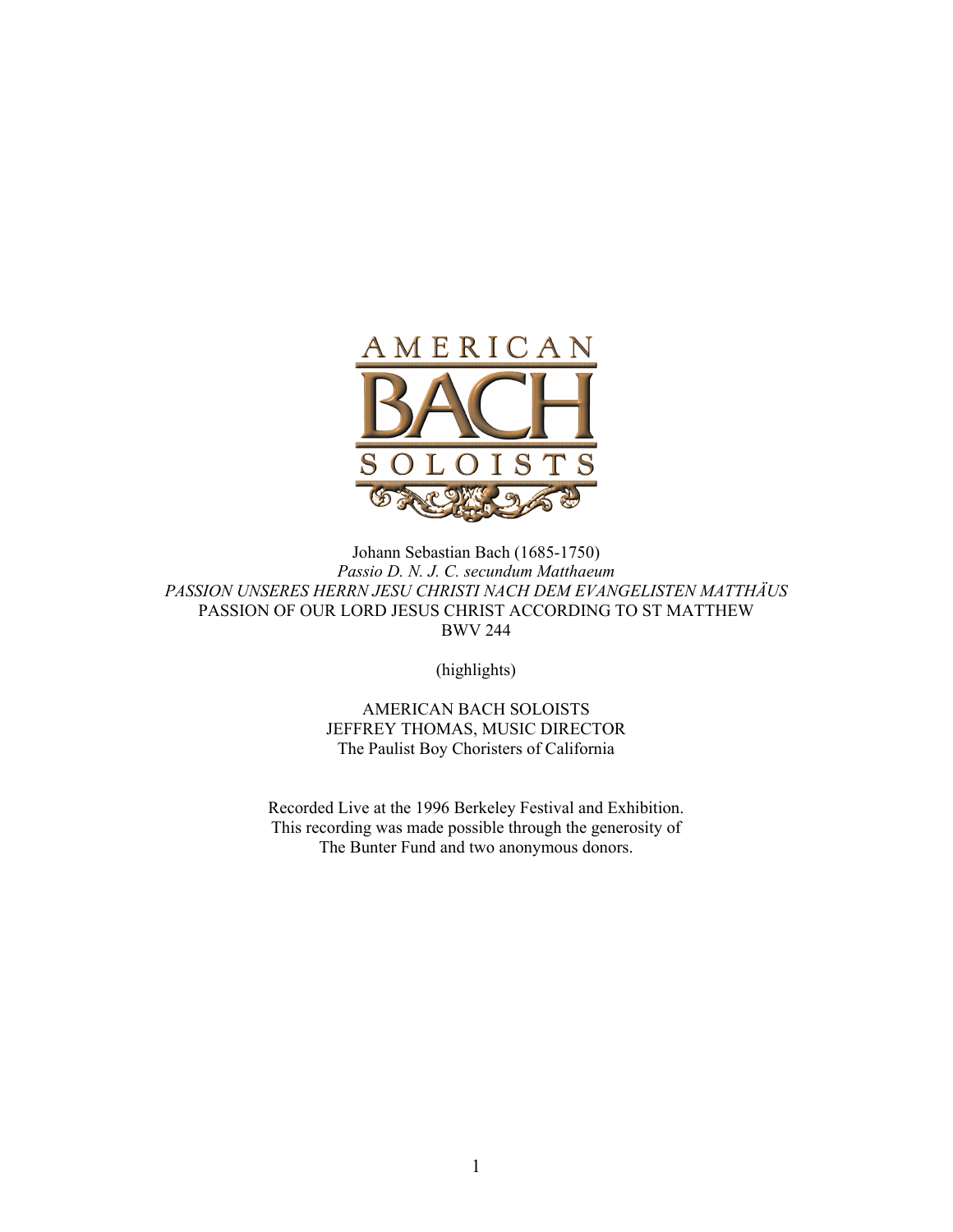

Johann Sebastian Bach (1685-1750) *Passio D. N. J. C. secundum Matthaeum PASSION UNSERES HERRN JESU CHRISTI NACH DEM EVANGELISTEN MATTHÄUS* PASSION OF OUR LORD JESUS CHRIST ACCORDING TO ST MATTHEW BWV 244

(highlights)

AMERICAN BACH SOLOISTS JEFFREY THOMAS, MUSIC DIRECTOR The Paulist Boy Choristers of California

Recorded Live at the 1996 Berkeley Festival and Exhibition. This recording was made possible through the generosity of The Bunter Fund and two anonymous donors.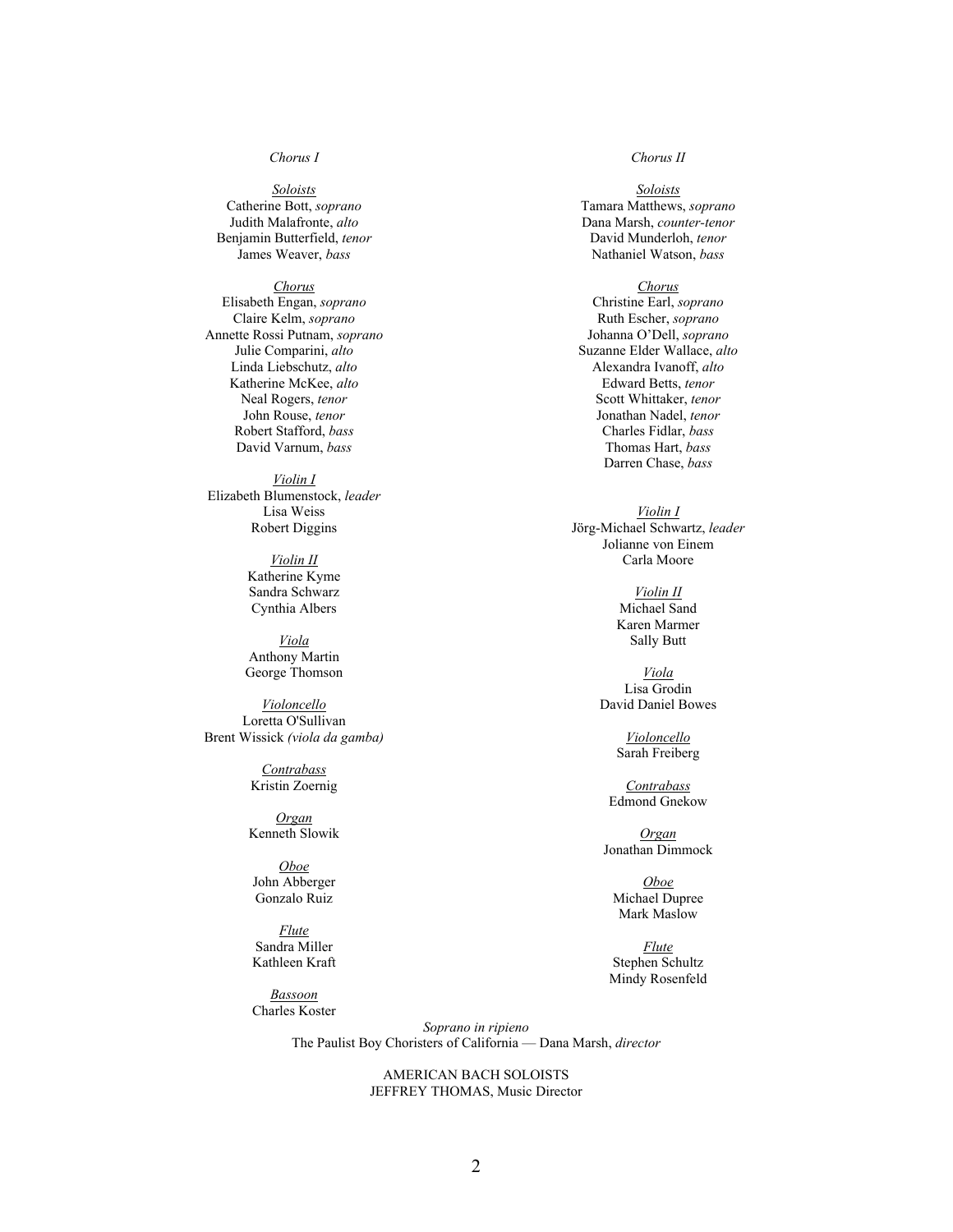### *Chorus I*

*Soloists* Catherine Bott, *soprano* Judith Malafronte, *alto* Benjamin Butterfield, *tenor* James Weaver, *bass*

### *Chorus*

Elisabeth Engan, *soprano* Claire Kelm, *soprano* Annette Rossi Putnam, *soprano* Julie Comparini, *alto* Linda Liebschutz, *alto* Katherine McKee, *alto* Neal Rogers, *tenor* John Rouse, *tenor* Robert Stafford, *bass* David Varnum, *bass*

#### *Violin I*

Elizabeth Blumenstock, *leader* Lisa Weiss Robert Diggins

> *Violin II* Katherine Kyme Sandra Schwarz Cynthia Albers

*Viola* Anthony Martin George Thomson

*Violoncello* Loretta O'Sullivan Brent Wissick *(viola da gamba)*

> *Contrabass* Kristin Zoernig

*Organ* Kenneth Slowik

*Oboe* John Abberger Gonzalo Ruiz

*Flute* Sandra Miller Kathleen Kraft

*Bassoon* Charles Koster *Chorus II*

*Soloists* Tamara Matthews, *soprano* Dana Marsh, *counter-tenor* David Munderloh, *tenor* Nathaniel Watson, *bass*

*Chorus* Christine Earl, *soprano* Ruth Escher, *soprano* Johanna O'Dell, *soprano* Suzanne Elder Wallace, *alto* Alexandra Ivanoff, *alto* Edward Betts, *tenor* Scott Whittaker, *tenor* Jonathan Nadel, *tenor* Charles Fidlar, *bass* Thomas Hart, *bass* Darren Chase, *bass*

*Violin I* Jörg-Michael Schwartz, *leader* Jolianne von Einem Carla Moore

> *Violin II* Michael Sand Karen Marmer Sally Butt

*Viola* Lisa Grodin David Daniel Bowes

> *Violoncello* Sarah Freiberg

*Contrabass* Edmond Gnekow

*Organ* Jonathan Dimmock

*Oboe* Michael Dupree Mark Maslow

*Flute* Stephen Schultz Mindy Rosenfeld

*Soprano in ripieno* The Paulist Boy Choristers of California — Dana Marsh, *director*

> AMERICAN BACH SOLOISTS JEFFREY THOMAS, Music Director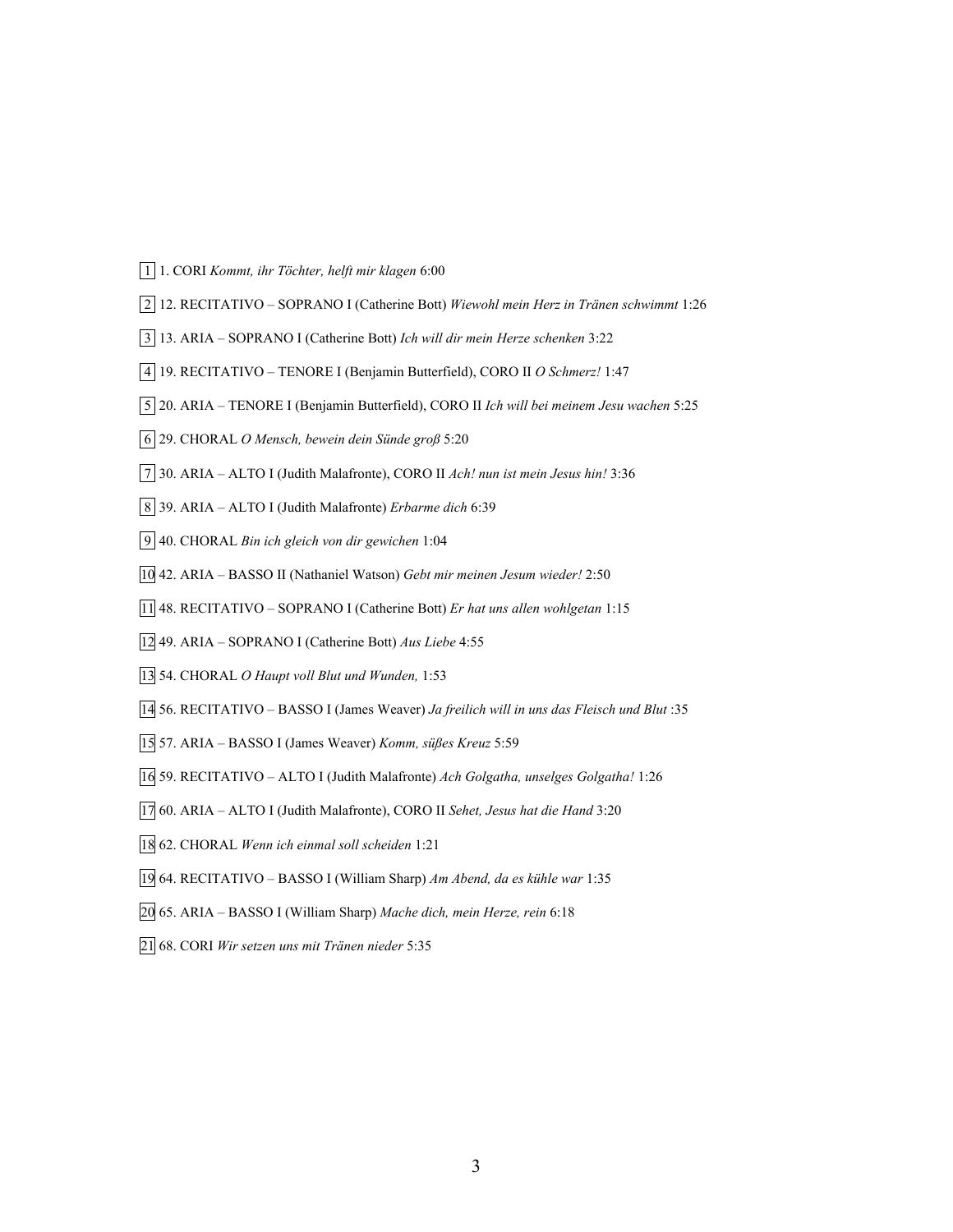- 1 1. CORI *Kommt, ihr Töchter, helft mir klagen* 6:00
- 2 12. RECITATIVO SOPRANO I (Catherine Bott) *Wiewohl mein Herz in Tränen schwimmt* 1:26
- 3 13. ARIA SOPRANO I (Catherine Bott) *Ich will dir mein Herze schenken* 3:22
- 4 19. RECITATIVO TENORE I (Benjamin Butterfield), CORO II *O Schmerz!* 1:47
- 5 20. ARIA TENORE I (Benjamin Butterfield), CORO II *Ich will bei meinem Jesu wachen* 5:25
- 6 29. CHORAL *O Mensch, bewein dein Sünde groß* 5:20
- 7 30. ARIA ALTO I (Judith Malafronte), CORO II *Ach! nun ist mein Jesus hin!* 3:36
- 8 39. ARIA ALTO I (Judith Malafronte) *Erbarme dich* 6:39
- 9 40. CHORAL *Bin ich gleich von dir gewichen* 1:04
- 10 42. ARIA BASSO II (Nathaniel Watson) *Gebt mir meinen Jesum wieder!* 2:50
- 11 48. RECITATIVO SOPRANO I (Catherine Bott) *Er hat uns allen wohlgetan* 1:15
- 12 49. ARIA SOPRANO I (Catherine Bott) *Aus Liebe* 4:55
- 13 54. CHORAL *O Haupt voll Blut und Wunden,* 1:53
- 14 56. RECITATIVO BASSO I (James Weaver) *Ja freilich will in uns das Fleisch und Blut* :35
- 15 57. ARIA BASSO I (James Weaver) *Komm, süßes Kreuz* 5:59
- 16 59. RECITATIVO ALTO I (Judith Malafronte) *Ach Golgatha, unselges Golgatha!* 1:26
- 17 60. ARIA ALTO I (Judith Malafronte), CORO II *Sehet, Jesus hat die Hand* 3:20
- 18 62. CHORAL *Wenn ich einmal soll scheiden* 1:21
- 19 64. RECITATIVO BASSO I (William Sharp) *Am Abend, da es kühle war* 1:35
- 20 65. ARIA BASSO I (William Sharp) *Mache dich, mein Herze, rein* 6:18
- 21 68. CORI *Wir setzen uns mit Tränen nieder* 5:35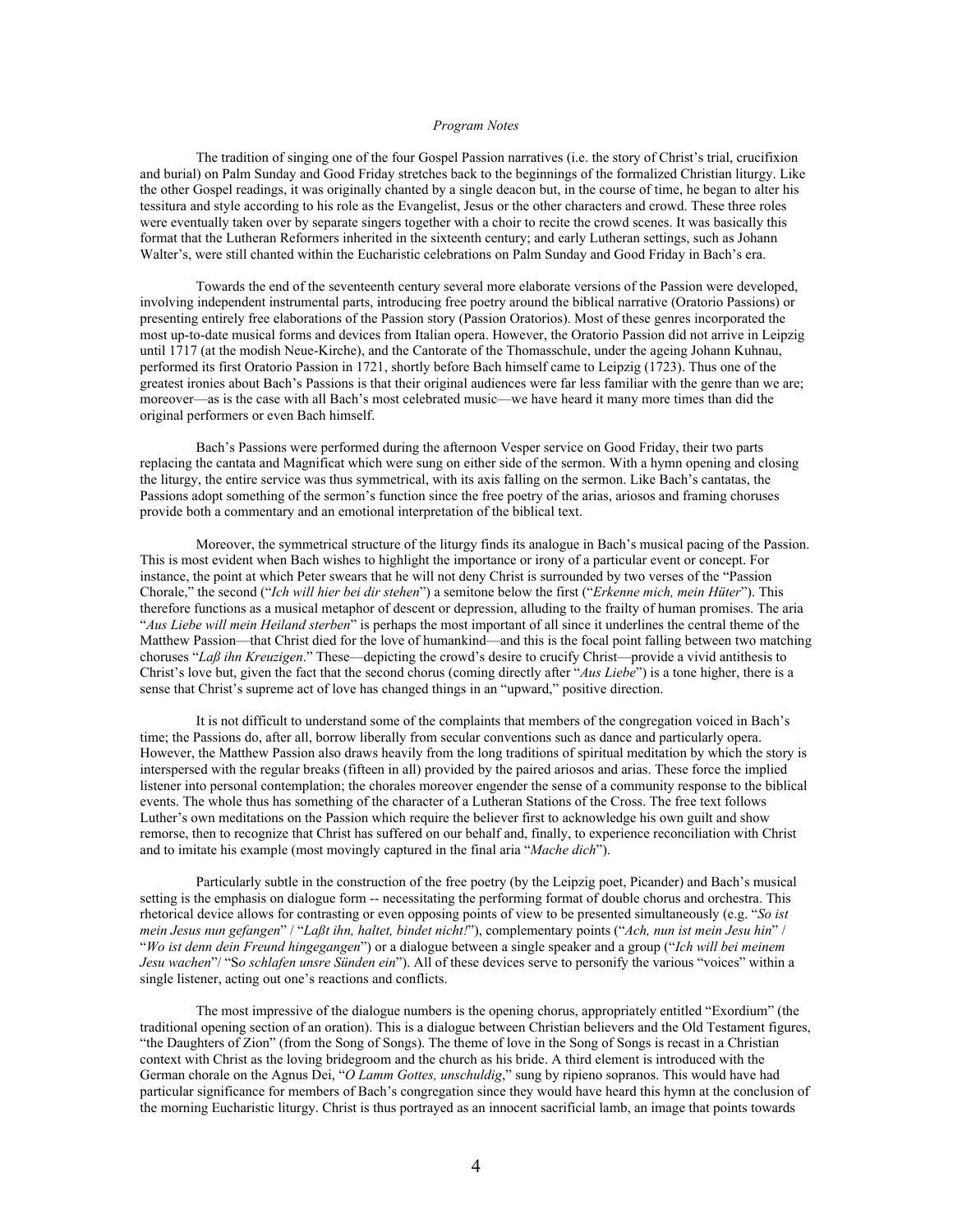#### *Program Notes*

The tradition of singing one of the four Gospel Passion narratives (i.e. the story of Christ's trial, crucifixion and burial) on Palm Sunday and Good Friday stretches back to the beginnings of the formalized Christian liturgy. Like the other Gospel readings, it was originally chanted by a single deacon but, in the course of time, he began to alter his tessitura and style according to his role as the Evangelist, Jesus or the other characters and crowd. These three roles were eventually taken over by separate singers together with a choir to recite the crowd scenes. It was basically this format that the Lutheran Reformers inherited in the sixteenth century; and early Lutheran settings, such as Johann Walter's, were still chanted within the Eucharistic celebrations on Palm Sunday and Good Friday in Bach's era.

Towards the end of the seventeenth century several more elaborate versions of the Passion were developed, involving independent instrumental parts, introducing free poetry around the biblical narrative (Oratorio Passions) or presenting entirely free elaborations of the Passion story (Passion Oratorios). Most of these genres incorporated the most up-to-date musical forms and devices from Italian opera. However, the Oratorio Passion did not arrive in Leipzig until 1717 (at the modish Neue-Kirche), and the Cantorate of the Thomasschule, under the ageing Johann Kuhnau, performed its first Oratorio Passion in 1721, shortly before Bach himself came to Leipzig (1723). Thus one of the greatest ironies about Bach's Passions is that their original audiences were far less familiar with the genre than we are; moreover—as is the case with all Bach's most celebrated music—we have heard it many more times than did the original performers or even Bach himself.

Bach's Passions were performed during the afternoon Vesper service on Good Friday, their two parts replacing the cantata and Magnificat which were sung on either side of the sermon. With a hymn opening and closing the liturgy, the entire service was thus symmetrical, with its axis falling on the sermon. Like Bach's cantatas, the Passions adopt something of the sermon's function since the free poetry of the arias, ariosos and framing choruses provide both a commentary and an emotional interpretation of the biblical text.

Moreover, the symmetrical structure of the liturgy finds its analogue in Bach's musical pacing of the Passion. This is most evident when Bach wishes to highlight the importance or irony of a particular event or concept. For instance, the point at which Peter swears that he will not deny Christ is surrounded by two verses of the "Passion Chorale," the second ("*Ich will hier bei dir stehen*") a semitone below the first ("*Erkenne mich, mein Hüter*"). This therefore functions as a musical metaphor of descent or depression, alluding to the frailty of human promises. The aria "*Aus Liebe will mein Heiland sterben*" is perhaps the most important of all since it underlines the central theme of the Matthew Passion—that Christ died for the love of humankind—and this is the focal point falling between two matching choruses "*Laß ihn Kreuzigen*." These—depicting the crowd's desire to crucify Christ—provide a vivid antithesis to Christ's love but, given the fact that the second chorus (coming directly after "*Aus Liebe*") is a tone higher, there is a sense that Christ's supreme act of love has changed things in an "upward," positive direction.

It is not difficult to understand some of the complaints that members of the congregation voiced in Bach's time; the Passions do, after all, borrow liberally from secular conventions such as dance and particularly opera. However, the Matthew Passion also draws heavily from the long traditions of spiritual meditation by which the story is interspersed with the regular breaks (fifteen in all) provided by the paired ariosos and arias. These force the implied listener into personal contemplation; the chorales moreover engender the sense of a community response to the biblical events. The whole thus has something of the character of a Lutheran Stations of the Cross. The free text follows Luther's own meditations on the Passion which require the believer first to acknowledge his own guilt and show remorse, then to recognize that Christ has suffered on our behalf and, finally, to experience reconciliation with Christ and to imitate his example (most movingly captured in the final aria "*Mache dich*").

Particularly subtle in the construction of the free poetry (by the Leipzig poet, Picander) and Bach's musical setting is the emphasis on dialogue form -- necessitating the performing format of double chorus and orchestra. This rhetorical device allows for contrasting or even opposing points of view to be presented simultaneously (e.g. "*So ist mein Jesus nun gefangen*" / "*Laßt ihn, haltet, bindet nicht!*"), complementary points ("*Ach, nun ist mein Jesu hin*" / "*Wo ist denn dein Freund hingegangen*") or a dialogue between a single speaker and a group ("*Ich will bei meinem Jesu wachen*"/ "S*o schlafen unsre Sünden ein*"). All of these devices serve to personify the various "voices" within a single listener, acting out one's reactions and conflicts.

The most impressive of the dialogue numbers is the opening chorus, appropriately entitled "Exordium" (the traditional opening section of an oration). This is a dialogue between Christian believers and the Old Testament figures, "the Daughters of Zion" (from the Song of Songs). The theme of love in the Song of Songs is recast in a Christian context with Christ as the loving bridegroom and the church as his bride. A third element is introduced with the German chorale on the Agnus Dei, "*O Lamm Gottes, unschuldig*," sung by ripieno sopranos. This would have had particular significance for members of Bach's congregation since they would have heard this hymn at the conclusion of the morning Eucharistic liturgy. Christ is thus portrayed as an innocent sacrificial lamb, an image that points towards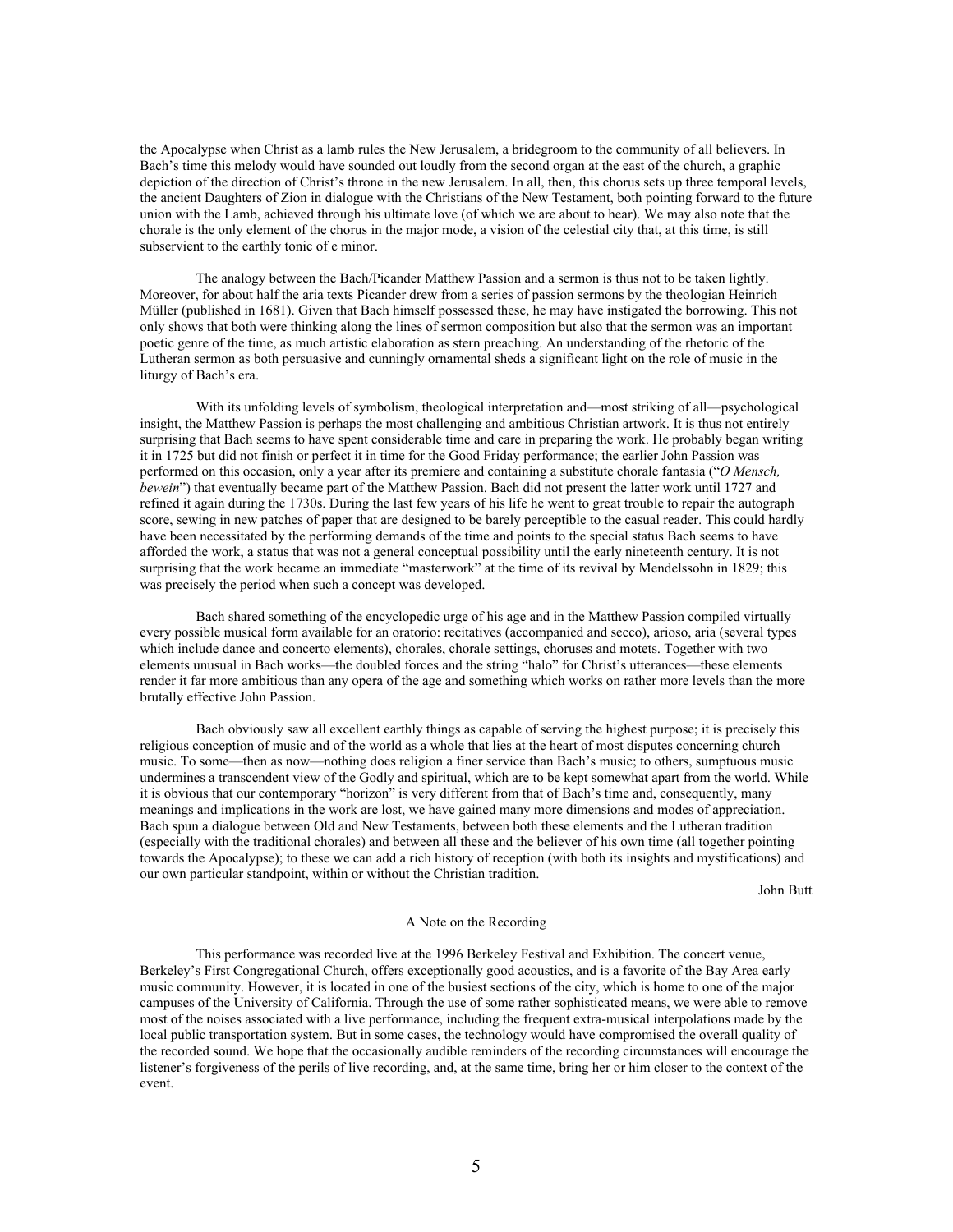the Apocalypse when Christ as a lamb rules the New Jerusalem, a bridegroom to the community of all believers. In Bach's time this melody would have sounded out loudly from the second organ at the east of the church, a graphic depiction of the direction of Christ's throne in the new Jerusalem. In all, then, this chorus sets up three temporal levels, the ancient Daughters of Zion in dialogue with the Christians of the New Testament, both pointing forward to the future union with the Lamb, achieved through his ultimate love (of which we are about to hear). We may also note that the chorale is the only element of the chorus in the major mode, a vision of the celestial city that, at this time, is still subservient to the earthly tonic of e minor.

The analogy between the Bach/Picander Matthew Passion and a sermon is thus not to be taken lightly. Moreover, for about half the aria texts Picander drew from a series of passion sermons by the theologian Heinrich Müller (published in 1681). Given that Bach himself possessed these, he may have instigated the borrowing. This not only shows that both were thinking along the lines of sermon composition but also that the sermon was an important poetic genre of the time, as much artistic elaboration as stern preaching. An understanding of the rhetoric of the Lutheran sermon as both persuasive and cunningly ornamental sheds a significant light on the role of music in the liturgy of Bach's era.

With its unfolding levels of symbolism, theological interpretation and—most striking of all—psychological insight, the Matthew Passion is perhaps the most challenging and ambitious Christian artwork. It is thus not entirely surprising that Bach seems to have spent considerable time and care in preparing the work. He probably began writing it in 1725 but did not finish or perfect it in time for the Good Friday performance; the earlier John Passion was performed on this occasion, only a year after its premiere and containing a substitute chorale fantasia ("*O Mensch, bewein*") that eventually became part of the Matthew Passion. Bach did not present the latter work until 1727 and refined it again during the 1730s. During the last few years of his life he went to great trouble to repair the autograph score, sewing in new patches of paper that are designed to be barely perceptible to the casual reader. This could hardly have been necessitated by the performing demands of the time and points to the special status Bach seems to have afforded the work, a status that was not a general conceptual possibility until the early nineteenth century. It is not surprising that the work became an immediate "masterwork" at the time of its revival by Mendelssohn in 1829; this was precisely the period when such a concept was developed.

Bach shared something of the encyclopedic urge of his age and in the Matthew Passion compiled virtually every possible musical form available for an oratorio: recitatives (accompanied and secco), arioso, aria (several types which include dance and concerto elements), chorales, chorale settings, choruses and motets. Together with two elements unusual in Bach works—the doubled forces and the string "halo" for Christ's utterances—these elements render it far more ambitious than any opera of the age and something which works on rather more levels than the more brutally effective John Passion.

Bach obviously saw all excellent earthly things as capable of serving the highest purpose; it is precisely this religious conception of music and of the world as a whole that lies at the heart of most disputes concerning church music. To some—then as now—nothing does religion a finer service than Bach's music; to others, sumptuous music undermines a transcendent view of the Godly and spiritual, which are to be kept somewhat apart from the world. While it is obvious that our contemporary "horizon" is very different from that of Bach's time and, consequently, many meanings and implications in the work are lost, we have gained many more dimensions and modes of appreciation. Bach spun a dialogue between Old and New Testaments, between both these elements and the Lutheran tradition (especially with the traditional chorales) and between all these and the believer of his own time (all together pointing towards the Apocalypse); to these we can add a rich history of reception (with both its insights and mystifications) and our own particular standpoint, within or without the Christian tradition.

John Butt

#### A Note on the Recording

This performance was recorded live at the 1996 Berkeley Festival and Exhibition. The concert venue, Berkeley's First Congregational Church, offers exceptionally good acoustics, and is a favorite of the Bay Area early music community. However, it is located in one of the busiest sections of the city, which is home to one of the major campuses of the University of California. Through the use of some rather sophisticated means, we were able to remove most of the noises associated with a live performance, including the frequent extra-musical interpolations made by the local public transportation system. But in some cases, the technology would have compromised the overall quality of the recorded sound. We hope that the occasionally audible reminders of the recording circumstances will encourage the listener's forgiveness of the perils of live recording, and, at the same time, bring her or him closer to the context of the event.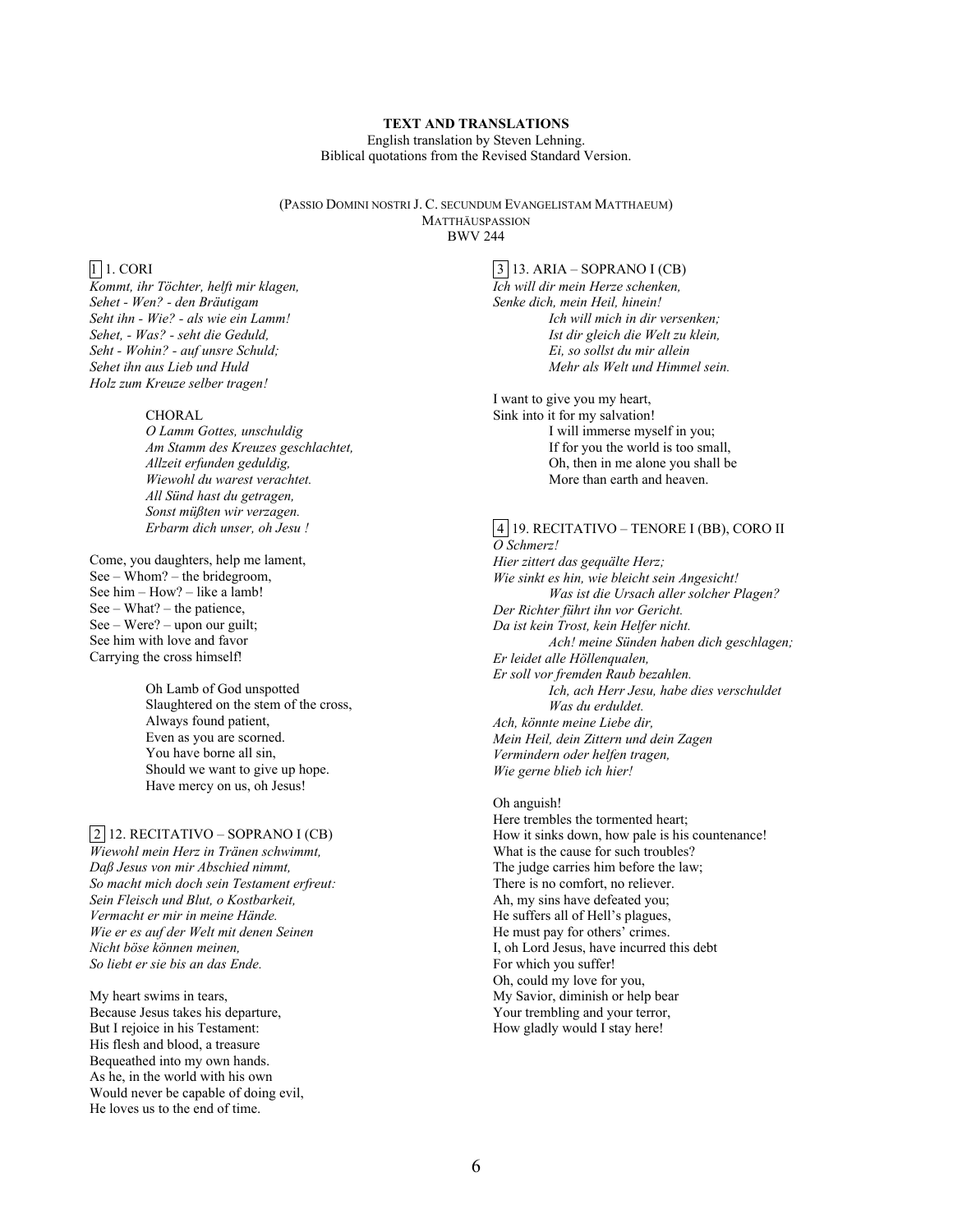### **TEXT AND TRANSLATIONS**

English translation by Steven Lehning. Biblical quotations from the Revised Standard Version.

(PASSIO DOMINI NOSTRI J. C. SECUNDUM EVANGELISTAM MATTHAEUM) MATTHÄUSPASSION BWV 244

## 1 1. CORI

*Kommt, ihr Töchter, helft mir klagen, Sehet - Wen? - den Bräutigam Seht ihn - Wie? - als wie ein Lamm! Sehet, - Was? - seht die Geduld, Seht - Wohin? - auf unsre Schuld; Sehet ihn aus Lieb und Huld Holz zum Kreuze selber tragen!*

### **CHORAL**

*O Lamm Gottes, unschuldig Am Stamm des Kreuzes geschlachtet, Allzeit erfunden geduldig, Wiewohl du warest verachtet. All Sünd hast du getragen, Sonst müßten wir verzagen. Erbarm dich unser, oh Jesu !*

Come, you daughters, help me lament, See – Whom? – the bridegroom, See him – How? – like a lamb! See – What? – the patience, See – Were? – upon our guilt; See him with love and favor Carrying the cross himself!

> Oh Lamb of God unspotted Slaughtered on the stem of the cross, Always found patient, Even as you are scorned. You have borne all sin, Should we want to give up hope. Have mercy on us, oh Jesus!

## 2 12. RECITATIVO – SOPRANO I (CB)

*Wiewohl mein Herz in Tränen schwimmt, Daß Jesus von mir Abschied nimmt, So macht mich doch sein Testament erfreut: Sein Fleisch und Blut, o Kostbarkeit, Vermacht er mir in meine Hände. Wie er es auf der Welt mit denen Seinen Nicht böse können meinen, So liebt er sie bis an das Ende.*

My heart swims in tears, Because Jesus takes his departure, But I rejoice in his Testament: His flesh and blood, a treasure Bequeathed into my own hands. As he, in the world with his own Would never be capable of doing evil, He loves us to the end of time.

#### $3$  13. ARIA – SOPRANO I (CB)

*Ich will dir mein Herze schenken, Senke dich, mein Heil, hinein! Ich will mich in dir versenken; Ist dir gleich die Welt zu klein, Ei, so sollst du mir allein Mehr als Welt und Himmel sein.*

I want to give you my heart, Sink into it for my salvation! I will immerse myself in you; If for you the world is too small, Oh, then in me alone you shall be More than earth and heaven.

#### 4 19. RECITATIVO – TENORE I (BB), CORO II *O Schmerz!*

*Hier zittert das gequälte Herz; Wie sinkt es hin, wie bleicht sein Angesicht! Was ist die Ursach aller solcher Plagen? Der Richter führt ihn vor Gericht. Da ist kein Trost, kein Helfer nicht. Ach! meine Sünden haben dich geschlagen; Er leidet alle Höllenqualen, Er soll vor fremden Raub bezahlen. Ich, ach Herr Jesu, habe dies verschuldet Was du erduldet. Ach, könnte meine Liebe dir, Mein Heil, dein Zittern und dein Zagen Vermindern oder helfen tragen, Wie gerne blieb ich hier!*

#### Oh anguish!

Here trembles the tormented heart; How it sinks down, how pale is his countenance! What is the cause for such troubles? The judge carries him before the law; There is no comfort, no reliever. Ah, my sins have defeated you; He suffers all of Hell's plagues, He must pay for others' crimes. I, oh Lord Jesus, have incurred this debt For which you suffer! Oh, could my love for you, My Savior, diminish or help bear Your trembling and your terror, How gladly would I stay here!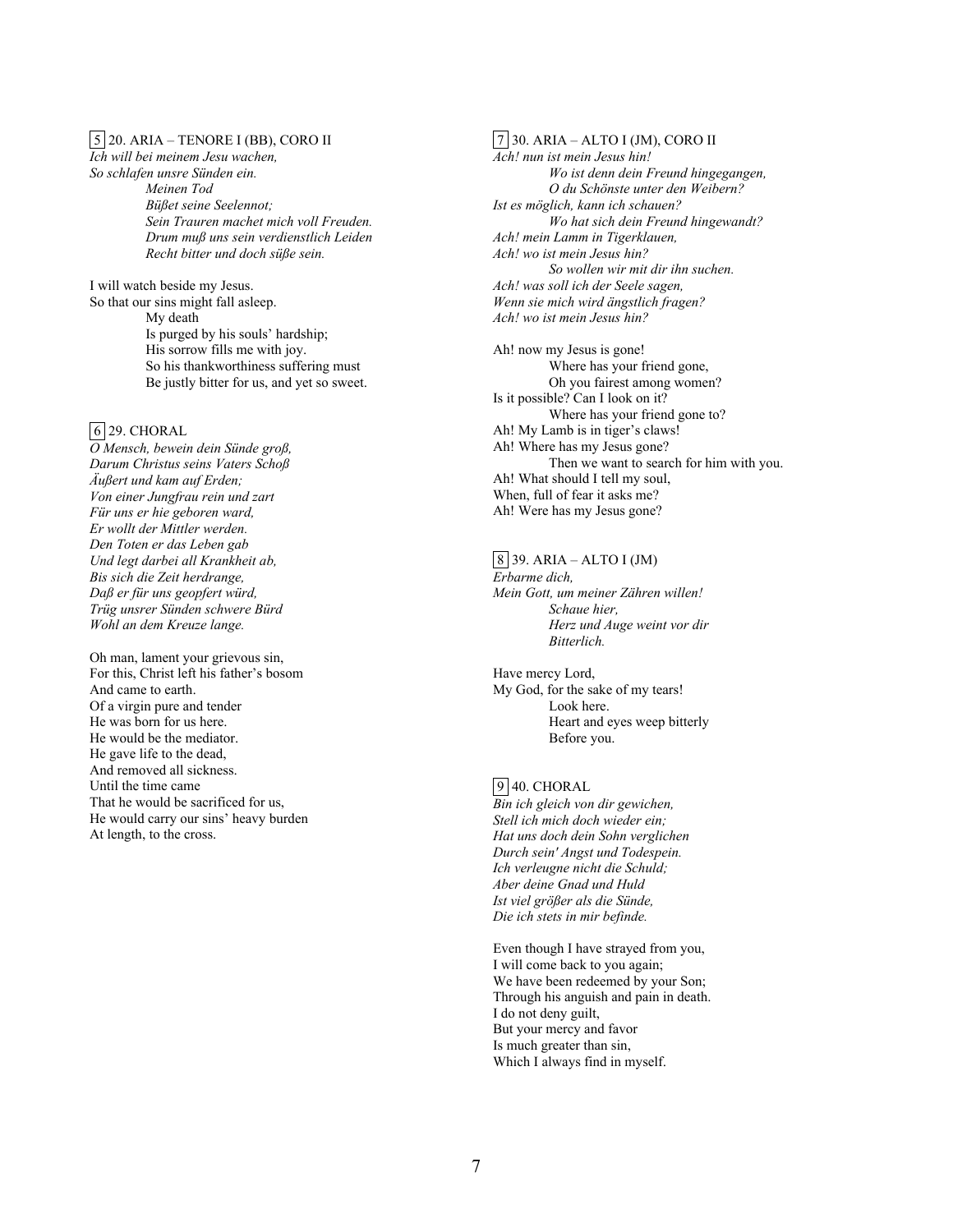### 5 20. ARIA – TENORE I (BB), CORO II

*Ich will bei meinem Jesu wachen,*

*So schlafen unsre Sünden ein. Meinen Tod Büßet seine Seelennot; Sein Trauren machet mich voll Freuden. Drum muß uns sein verdienstlich Leiden Recht bitter und doch süße sein.*

I will watch beside my Jesus. So that our sins might fall asleep. My death Is purged by his souls' hardship; His sorrow fills me with joy. So his thankworthiness suffering must Be justly bitter for us, and yet so sweet.

# 6 29. CHORAL

*O Mensch, bewein dein Sünde groß, Darum Christus seins Vaters Schoß Äußert und kam auf Erden; Von einer Jungfrau rein und zart Für uns er hie geboren ward, Er wollt der Mittler werden. Den Toten er das Leben gab Und legt darbei all Krankheit ab, Bis sich die Zeit herdrange, Daß er für uns geopfert würd, Trüg unsrer Sünden schwere Bürd Wohl an dem Kreuze lange.*

Oh man, lament your grievous sin, For this, Christ left his father's bosom And came to earth. Of a virgin pure and tender He was born for us here. He would be the mediator. He gave life to the dead, And removed all sickness. Until the time came That he would be sacrificed for us, He would carry our sins' heavy burden At length, to the cross.

### 7 30. ARIA – ALTO I (JM), CORO II *Ach! nun ist mein Jesus hin!*

*Wo ist denn dein Freund hingegangen, O du Schönste unter den Weibern? Ist es möglich, kann ich schauen? Wo hat sich dein Freund hingewandt? Ach! mein Lamm in Tigerklauen, Ach! wo ist mein Jesus hin? So wollen wir mit dir ihn suchen. Ach! was soll ich der Seele sagen, Wenn sie mich wird ängstlich fragen? Ach! wo ist mein Jesus hin?*

Ah! now my Jesus is gone! Where has your friend gone, Oh you fairest among women? Is it possible? Can I look on it? Where has your friend gone to? Ah! My Lamb is in tiger's claws! Ah! Where has my Jesus gone? Then we want to search for him with you. Ah! What should I tell my soul, When, full of fear it asks me? Ah! Were has my Jesus gone?

### 8 39. ARIA – ALTO I (JM)

*Erbarme dich, Mein Gott, um meiner Zähren willen! Schaue hier, Herz und Auge weint vor dir Bitterlich.*

Have mercy Lord, My God, for the sake of my tears! Look here. Heart and eyes weep bitterly Before you.

### 9 40. CHORAL

*Bin ich gleich von dir gewichen, Stell ich mich doch wieder ein; Hat uns doch dein Sohn verglichen Durch sein' Angst und Todespein. Ich verleugne nicht die Schuld; Aber deine Gnad und Huld Ist viel größer als die Sünde, Die ich stets in mir befinde.*

Even though I have strayed from you, I will come back to you again; We have been redeemed by your Son; Through his anguish and pain in death. I do not deny guilt, But your mercy and favor Is much greater than sin, Which I always find in myself.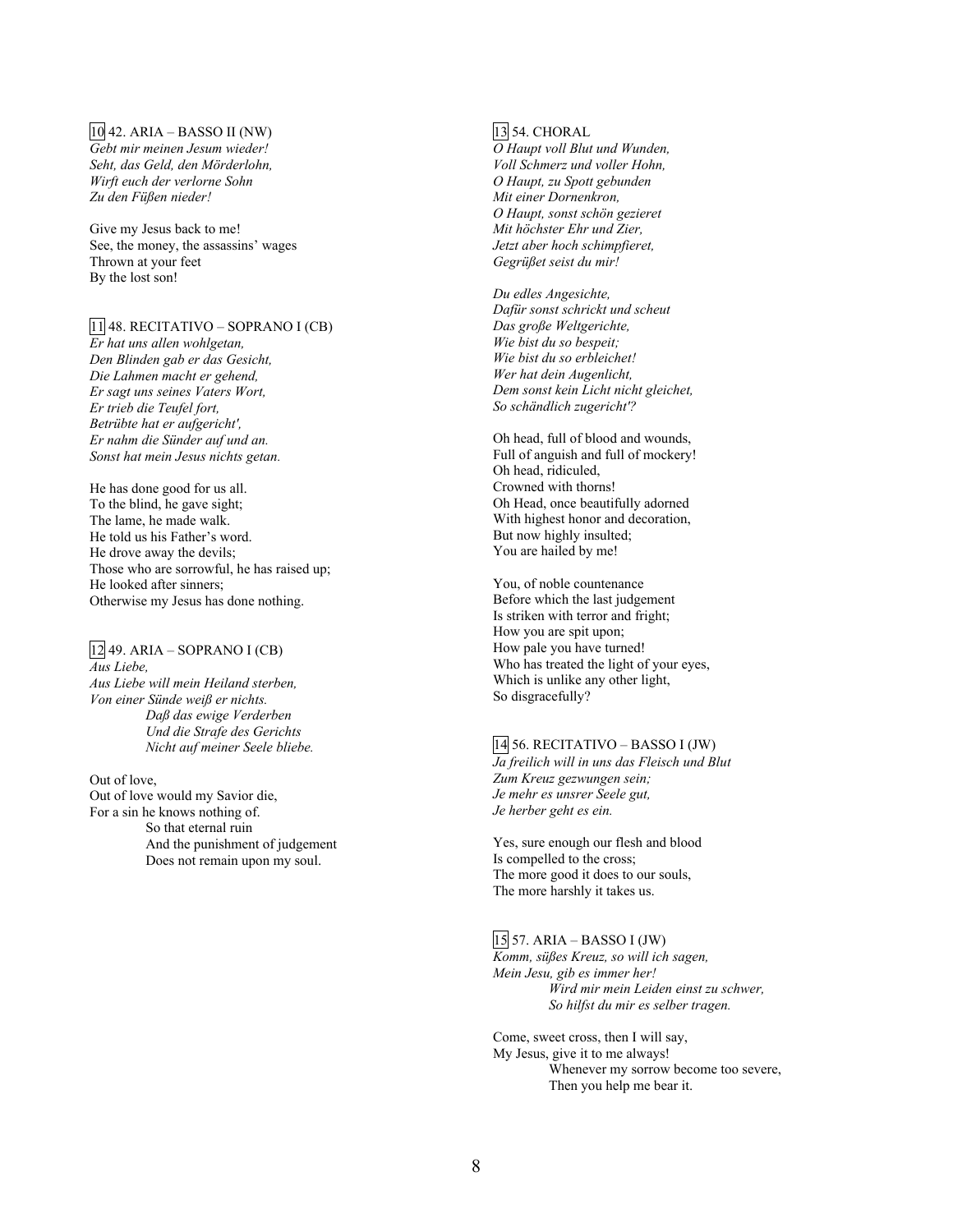### 10 42. ARIA – BASSO II (NW)

*Gebt mir meinen Jesum wieder! Seht, das Geld, den Mörderlohn, Wirft euch der verlorne Sohn Zu den Füßen nieder!*

Give my Jesus back to me! See, the money, the assassins' wages Thrown at your feet By the lost son!

## 11 48. RECITATIVO – SOPRANO I (CB)

*Er hat uns allen wohlgetan, Den Blinden gab er das Gesicht, Die Lahmen macht er gehend, Er sagt uns seines Vaters Wort, Er trieb die Teufel fort, Betrübte hat er aufgericht', Er nahm die Sünder auf und an. Sonst hat mein Jesus nichts getan.*

He has done good for us all. To the blind, he gave sight; The lame, he made walk. He told us his Father's word. He drove away the devils; Those who are sorrowful, he has raised up; He looked after sinners; Otherwise my Jesus has done nothing.

## 12 49. ARIA – SOPRANO I (CB)

*Aus Liebe, Aus Liebe will mein Heiland sterben, Von einer Sünde weiß er nichts. Daß das ewige Verderben Und die Strafe des Gerichts Nicht auf meiner Seele bliebe.*

Out of love, Out of love would my Savior die, For a sin he knows nothing of. So that eternal ruin And the punishment of judgement Does not remain upon my soul.

## 13 54. CHORAL

*O Haupt voll Blut und Wunden, Voll Schmerz und voller Hohn, O Haupt, zu Spott gebunden Mit einer Dornenkron, O Haupt, sonst schön gezieret Mit höchster Ehr und Zier, Jetzt aber hoch schimpfieret, Gegrüßet seist du mir!*

*Du edles Angesichte, Dafür sonst schrickt und scheut Das große Weltgerichte, Wie bist du so bespeit; Wie bist du so erbleichet! Wer hat dein Augenlicht, Dem sonst kein Licht nicht gleichet, So schändlich zugericht'?*

Oh head, full of blood and wounds, Full of anguish and full of mockery! Oh head, ridiculed, Crowned with thorns! Oh Head, once beautifully adorned With highest honor and decoration, But now highly insulted; You are hailed by me!

You, of noble countenance Before which the last judgement Is striken with terror and fright; How you are spit upon; How pale you have turned! Who has treated the light of your eyes, Which is unlike any other light, So disgracefully?

## 14 56. RECITATIVO – BASSO I (JW)

*Ja freilich will in uns das Fleisch und Blut Zum Kreuz gezwungen sein; Je mehr es unsrer Seele gut, Je herber geht es ein.*

Yes, sure enough our flesh and blood Is compelled to the cross; The more good it does to our souls, The more harshly it takes us.

### 15 57. ARIA – BASSO I (JW)

*Komm, süßes Kreuz, so will ich sagen, Mein Jesu, gib es immer her! Wird mir mein Leiden einst zu schwer, So hilfst du mir es selber tragen.*

Come, sweet cross, then I will say, My Jesus, give it to me always! Whenever my sorrow become too severe, Then you help me bear it.